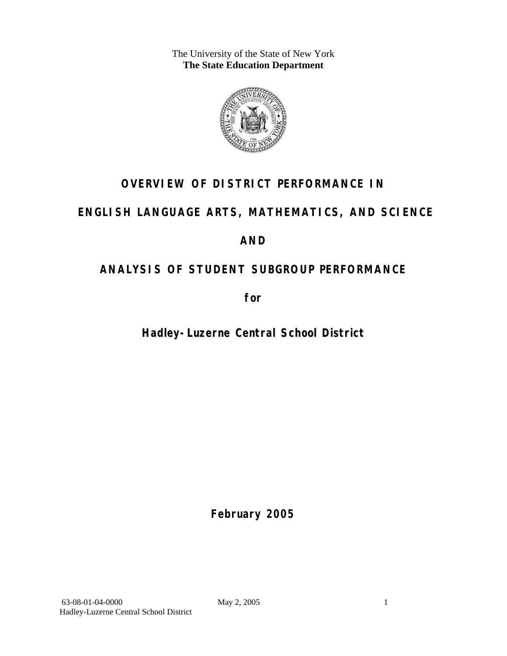The University of the State of New York **The State Education Department** 



# **OVERVIEW OF DISTRICT PERFORMANCE IN**

# **ENGLISH LANGUAGE ARTS, MATHEMATICS, AND SCIENCE**

# **AND**

# **ANALYSIS OF STUDENT SUBGROUP PERFORMANCE**

**for** 

**Hadley-Luzerne Central School District**

**February 2005**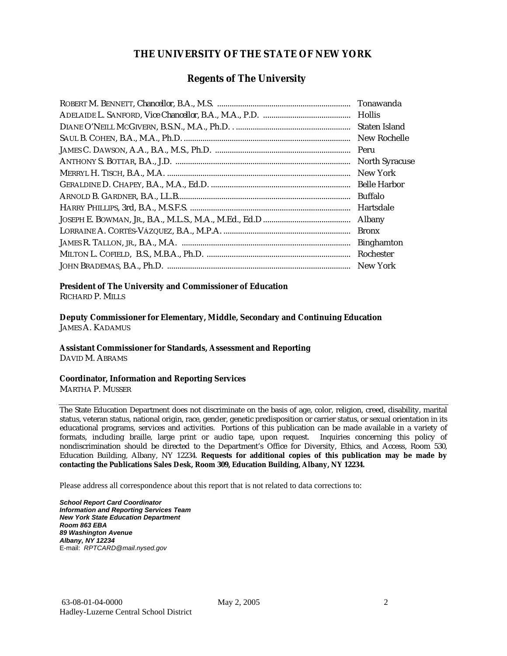#### **THE UNIVERSITY OF THE STATE OF NEW YORK**

#### **Regents of The University**

| Tonawanda             |
|-----------------------|
|                       |
| Staten Island         |
| New Rochelle          |
| Peru                  |
| <b>North Syracuse</b> |
| New York              |
| <b>Belle Harbor</b>   |
| <b>Buffalo</b>        |
| Hartsdale             |
| Albany                |
| <b>Bronx</b>          |
| <b>Binghamton</b>     |
| Rochester             |
| New York              |

## **President of The University and Commissioner of Education**

RICHARD P. MILLS

**Deputy Commissioner for Elementary, Middle, Secondary and Continuing Education**  JAMES A. KADAMUS

#### **Assistant Commissioner for Standards, Assessment and Reporting**  DAVID M. ABRAMS

**Coordinator, Information and Reporting Services** 

MARTHA P. MUSSER

The State Education Department does not discriminate on the basis of age, color, religion, creed, disability, marital status, veteran status, national origin, race, gender, genetic predisposition or carrier status, or sexual orientation in its educational programs, services and activities. Portions of this publication can be made available in a variety of formats, including braille, large print or audio tape, upon request. Inquiries concerning this policy of nondiscrimination should be directed to the Department's Office for Diversity, Ethics, and Access, Room 530, Education Building, Albany, NY 12234. **Requests for additional copies of this publication may be made by contacting the Publications Sales Desk, Room 309, Education Building, Albany, NY 12234.** 

Please address all correspondence about this report that is not related to data corrections to:

*School Report Card Coordinator Information and Reporting Services Team New York State Education Department Room 863 EBA 89 Washington Avenue Albany, NY 12234*  E-mail: *RPTCARD@mail.nysed.gov*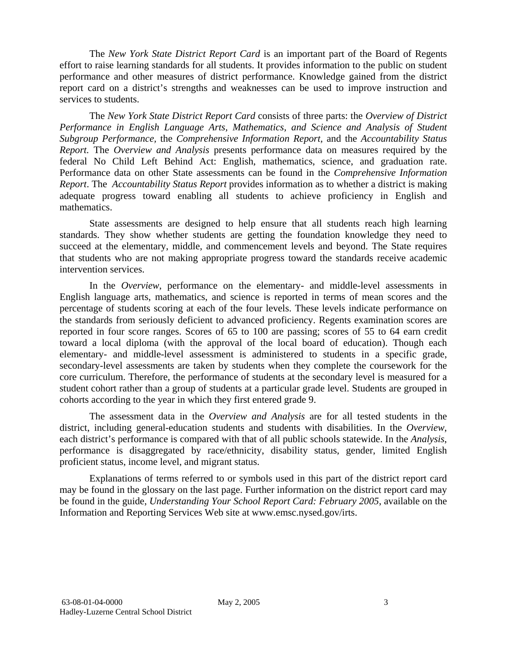The *New York State District Report Card* is an important part of the Board of Regents effort to raise learning standards for all students. It provides information to the public on student performance and other measures of district performance. Knowledge gained from the district report card on a district's strengths and weaknesses can be used to improve instruction and services to students.

The *New York State District Report Card* consists of three parts: the *Overview of District Performance in English Language Arts, Mathematics, and Science and Analysis of Student Subgroup Performance,* the *Comprehensive Information Report,* and the *Accountability Status Report.* The *Overview and Analysis* presents performance data on measures required by the federal No Child Left Behind Act: English, mathematics, science, and graduation rate. Performance data on other State assessments can be found in the *Comprehensive Information Report*. The *Accountability Status Report* provides information as to whether a district is making adequate progress toward enabling all students to achieve proficiency in English and mathematics.

State assessments are designed to help ensure that all students reach high learning standards. They show whether students are getting the foundation knowledge they need to succeed at the elementary, middle, and commencement levels and beyond. The State requires that students who are not making appropriate progress toward the standards receive academic intervention services.

In the *Overview*, performance on the elementary- and middle-level assessments in English language arts, mathematics, and science is reported in terms of mean scores and the percentage of students scoring at each of the four levels. These levels indicate performance on the standards from seriously deficient to advanced proficiency. Regents examination scores are reported in four score ranges. Scores of 65 to 100 are passing; scores of 55 to 64 earn credit toward a local diploma (with the approval of the local board of education). Though each elementary- and middle-level assessment is administered to students in a specific grade, secondary-level assessments are taken by students when they complete the coursework for the core curriculum. Therefore, the performance of students at the secondary level is measured for a student cohort rather than a group of students at a particular grade level. Students are grouped in cohorts according to the year in which they first entered grade 9.

The assessment data in the *Overview and Analysis* are for all tested students in the district, including general-education students and students with disabilities. In the *Overview*, each district's performance is compared with that of all public schools statewide. In the *Analysis*, performance is disaggregated by race/ethnicity, disability status, gender, limited English proficient status, income level, and migrant status.

Explanations of terms referred to or symbols used in this part of the district report card may be found in the glossary on the last page. Further information on the district report card may be found in the guide, *Understanding Your School Report Card: February 2005*, available on the Information and Reporting Services Web site at www.emsc.nysed.gov/irts.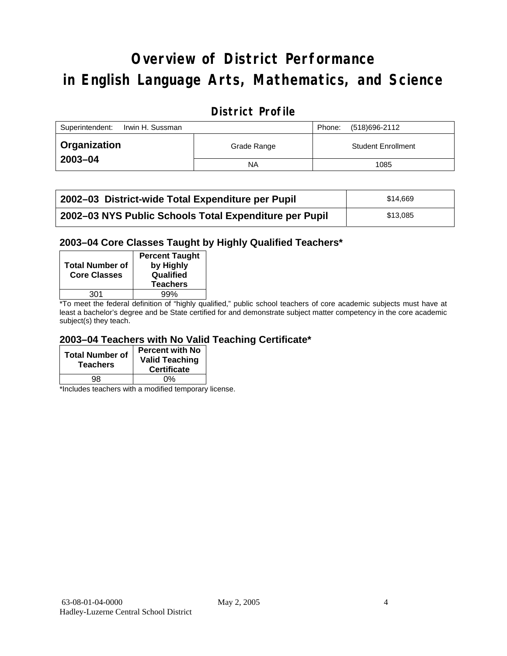# **Overview of District Performance in English Language Arts, Mathematics, and Science**

### **District Profile**

| Superintendent:<br>Irwin H. Sussman |             | Phone: | (518)696-2112             |
|-------------------------------------|-------------|--------|---------------------------|
| <sup>1</sup> Organization           | Grade Range |        | <b>Student Enrollment</b> |
| 2003-04                             | <b>NA</b>   |        | 1085                      |

| 2002–03 District-wide Total Expenditure per Pupil      | \$14.669 |
|--------------------------------------------------------|----------|
| 2002-03 NYS Public Schools Total Expenditure per Pupil | \$13,085 |

#### **2003–04 Core Classes Taught by Highly Qualified Teachers\***

| <b>Total Number of</b><br><b>Core Classes</b> | <b>Percent Taught</b><br>by Highly<br>Qualified<br><b>Teachers</b> |
|-----------------------------------------------|--------------------------------------------------------------------|
| 301                                           | 99%                                                                |
| .                                             | $\cdots$<br>$\cdots$                                               |

\*To meet the federal definition of "highly qualified," public school teachers of core academic subjects must have at least a bachelor's degree and be State certified for and demonstrate subject matter competency in the core academic subject(s) they teach.

#### **2003–04 Teachers with No Valid Teaching Certificate\***

| <b>Total Number of</b><br><b>Teachers</b> | <b>Percent with No</b><br><b>Valid Teaching</b><br><b>Certificate</b> |
|-------------------------------------------|-----------------------------------------------------------------------|
| QЯ                                        | ሰ%                                                                    |

\*Includes teachers with a modified temporary license.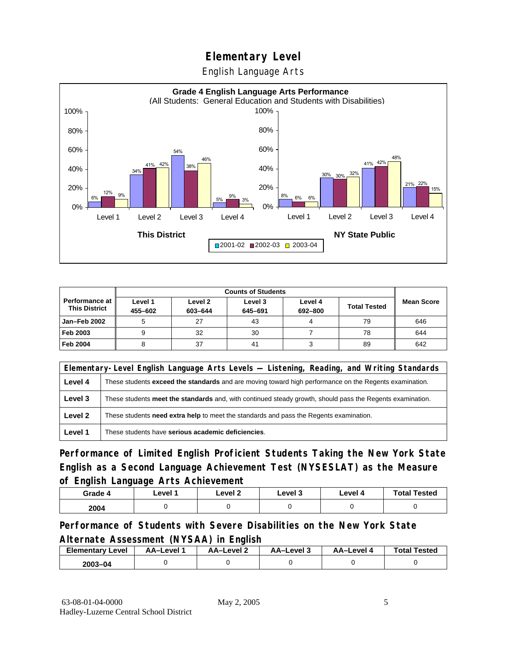English Language Arts



|                                        | <b>Counts of Students</b> |                    |                    |                    |                     |                   |
|----------------------------------------|---------------------------|--------------------|--------------------|--------------------|---------------------|-------------------|
| Performance at<br><b>This District</b> | Level 1<br>455-602        | Level 2<br>603-644 | Level 3<br>645-691 | Level 4<br>692-800 | <b>Total Tested</b> | <b>Mean Score</b> |
| <b>Jan-Feb 2002</b>                    |                           | 27                 | 43                 |                    | 79                  | 646               |
| Feb 2003                               |                           | 32                 | 30                 |                    | 78                  | 644               |
| <b>Feb 2004</b>                        |                           | 37                 | 41                 |                    | 89                  | 642               |

|         | Elementary-Level English Language Arts Levels — Listening, Reading, and Writing Standards                     |  |  |  |  |
|---------|---------------------------------------------------------------------------------------------------------------|--|--|--|--|
| Level 4 | These students <b>exceed the standards</b> and are moving toward high performance on the Regents examination. |  |  |  |  |
| Level 3 | These students meet the standards and, with continued steady growth, should pass the Regents examination.     |  |  |  |  |
| Level 2 | These students <b>need extra help</b> to meet the standards and pass the Regents examination.                 |  |  |  |  |
| Level 1 | These students have serious academic deficiencies.                                                            |  |  |  |  |

**Performance of Limited English Proficient Students Taking the New York State English as a Second Language Achievement Test (NYSESLAT) as the Measure of English Language Arts Achievement**

| Grade 4 | Level 1 | Level <sub>2</sub> | ∟evel 3 | Level 4 | <b>Total Tested</b> |
|---------|---------|--------------------|---------|---------|---------------------|
| 2004    |         |                    |         |         |                     |

**Performance of Students with Severe Disabilities on the New York State Alternate Assessment (NYSAA) in English** 

| <b>Elementary Level</b> | AA–Level . | AA-Level 2 | ذ AA–Level | AA-Level 4 | <b>Total Tested</b> |
|-------------------------|------------|------------|------------|------------|---------------------|
| 2003-04                 |            |            |            |            |                     |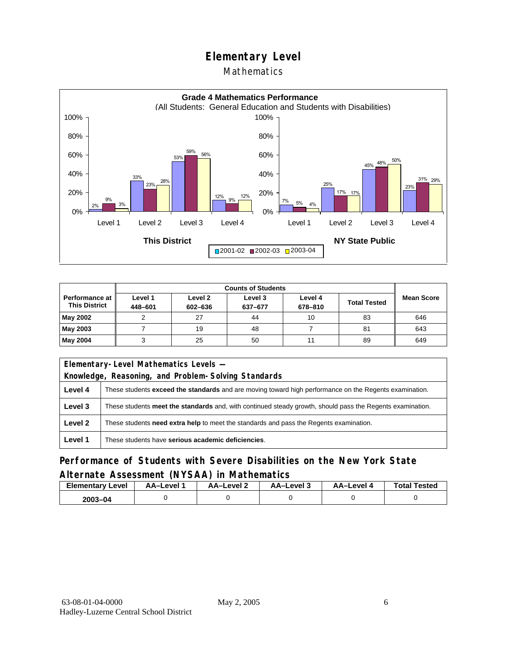#### Mathematics



|                                        | <b>Counts of Students</b> |                    |                    |                    |                     |                   |  |
|----------------------------------------|---------------------------|--------------------|--------------------|--------------------|---------------------|-------------------|--|
| Performance at<br><b>This District</b> | Level 1<br>448-601        | Level 2<br>602-636 | Level 3<br>637-677 | Level 4<br>678-810 | <b>Total Tested</b> | <b>Mean Score</b> |  |
| May 2002                               |                           | 27                 | 44                 | 10                 | 83                  | 646               |  |
| May 2003                               |                           | 19                 | 48                 |                    | 81                  | 643               |  |
| May 2004                               |                           | 25                 | 50                 | 11                 | 89                  | 649               |  |

| Elementary-Level Mathematics Levels - |                                                                                                               |  |  |  |  |
|---------------------------------------|---------------------------------------------------------------------------------------------------------------|--|--|--|--|
|                                       | Knowledge, Reasoning, and Problem-Solving Standards                                                           |  |  |  |  |
| Level 4                               | These students <b>exceed the standards</b> and are moving toward high performance on the Regents examination. |  |  |  |  |
| Level 3                               | These students meet the standards and, with continued steady growth, should pass the Regents examination.     |  |  |  |  |
| Level 2                               | These students <b>need extra help</b> to meet the standards and pass the Regents examination.                 |  |  |  |  |
| Level 1                               | These students have serious academic deficiencies.                                                            |  |  |  |  |

#### **Performance of Students with Severe Disabilities on the New York State Alternate Assessment (NYSAA) in Mathematics**

| <b>Elementary Level</b> | AA-Level | <b>AA-Level 2</b> | AA-Level 3 | AA-Level 4 | <b>Total Tested</b> |
|-------------------------|----------|-------------------|------------|------------|---------------------|
| 2003-04                 |          |                   |            |            |                     |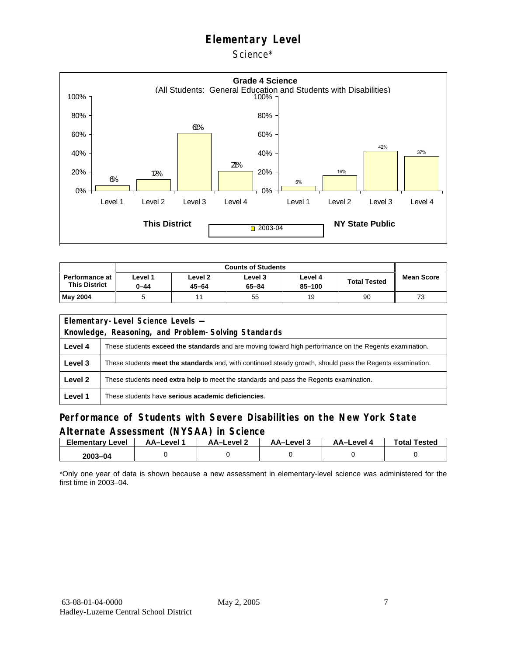Science\*



| <b>Performance at I</b><br><b>This District</b> | Level 1<br>0-44 | Level <sub>2</sub><br>$45 - 64$ | Level 3<br>$65 - 84$ | Level 4<br>85-100 | <b>Total Tested</b> | <b>Mean Score</b> |
|-------------------------------------------------|-----------------|---------------------------------|----------------------|-------------------|---------------------|-------------------|
| <b>May 2004</b>                                 |                 |                                 | 55                   | 19                | 90                  | 73                |

|         | Elementary-Level Science Levels -                                                                             |  |  |  |  |
|---------|---------------------------------------------------------------------------------------------------------------|--|--|--|--|
|         | Knowledge, Reasoning, and Problem-Solving Standards                                                           |  |  |  |  |
| Level 4 | These students <b>exceed the standards</b> and are moving toward high performance on the Regents examination. |  |  |  |  |
| Level 3 | These students meet the standards and, with continued steady growth, should pass the Regents examination.     |  |  |  |  |
| Level 2 | These students <b>need extra help</b> to meet the standards and pass the Regents examination.                 |  |  |  |  |
| Level 1 | These students have serious academic deficiencies.                                                            |  |  |  |  |

#### **Performance of Students with Severe Disabilities on the New York State Alternate Assessment (NYSAA) in Science**

| <b>Elementary</b><br>Level | AA-Level | AA-Level 2 | AA-Level 3 | AA-Level 4 | <b>Total Tested</b> |
|----------------------------|----------|------------|------------|------------|---------------------|
| $2003 - 04$                |          |            |            |            |                     |

\*Only one year of data is shown because a new assessment in elementary-level science was administered for the first time in 2003–04.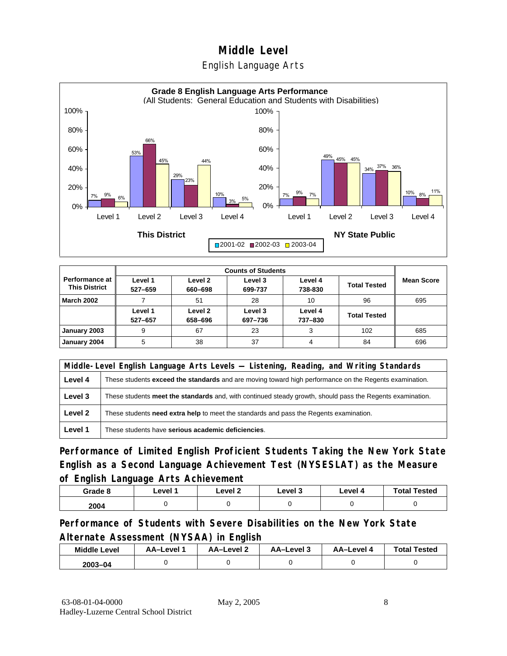#### English Language Arts



|                                               |                    |                    | <b>Counts of Students</b> |                    |                     |                   |
|-----------------------------------------------|--------------------|--------------------|---------------------------|--------------------|---------------------|-------------------|
| <b>Performance at</b><br><b>This District</b> | Level 1<br>527-659 | Level 2<br>660-698 | Level 3<br>699-737        | Level 4<br>738-830 | <b>Total Tested</b> | <b>Mean Score</b> |
| <b>March 2002</b>                             |                    | 51                 | 28                        | 10                 | 96                  | 695               |
|                                               | Level 1<br>527-657 | Level 2<br>658-696 | Level 3<br>697-736        | Level 4<br>737-830 | <b>Total Tested</b> |                   |
| January 2003                                  | 9                  | 67                 | 23                        | 3                  | 102                 | 685               |
| January 2004                                  | 5                  | 38                 | 37                        |                    | 84                  | 696               |

|         | Middle-Level English Language Arts Levels — Listening, Reading, and Writing Standards                         |  |  |  |  |
|---------|---------------------------------------------------------------------------------------------------------------|--|--|--|--|
| Level 4 | These students <b>exceed the standards</b> and are moving toward high performance on the Regents examination. |  |  |  |  |
| Level 3 | These students meet the standards and, with continued steady growth, should pass the Regents examination.     |  |  |  |  |
| Level 2 | These students need extra help to meet the standards and pass the Regents examination.                        |  |  |  |  |
| Level 1 | These students have serious academic deficiencies.                                                            |  |  |  |  |

**Performance of Limited English Proficient Students Taking the New York State English as a Second Language Achievement Test (NYSESLAT) as the Measure of English Language Arts Achievement**

| Grade 8 | Level 1 | Level 2 | Level 3 | Level 4 | <b>Total Tested</b> |
|---------|---------|---------|---------|---------|---------------------|
| 2004    |         |         |         |         |                     |

**Performance of Students with Severe Disabilities on the New York State Alternate Assessment (NYSAA) in English** 

| <b>Middle Level</b> | <b>AA-Level</b> | AA-Level 2 | AA-Level 3 | AA-Level 4 | <b>Total Tested</b> |
|---------------------|-----------------|------------|------------|------------|---------------------|
| $2003 - 04$         |                 |            |            |            |                     |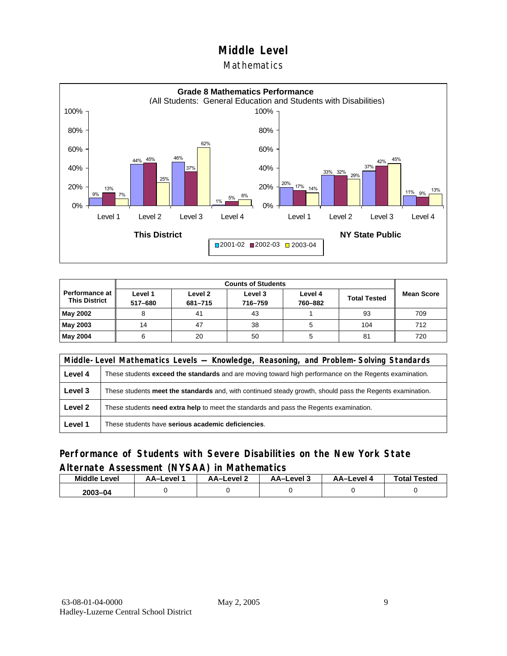**Mathematics** 



|                                               |                    | <b>Counts of Students</b>                                                             |    |                   |     |     |  |  |  |
|-----------------------------------------------|--------------------|---------------------------------------------------------------------------------------|----|-------------------|-----|-----|--|--|--|
| <b>Performance at</b><br><b>This District</b> | Level 1<br>517-680 | Level 2<br>Level 3<br>Level 4<br><b>Total Tested</b><br>760-882<br>716-759<br>681-715 |    | <b>Mean Score</b> |     |     |  |  |  |
| May 2002                                      | 8                  | 41                                                                                    | 43 |                   | 93  | 709 |  |  |  |
| May 2003                                      | 14                 | 47                                                                                    | 38 |                   | 104 | 712 |  |  |  |
| May 2004                                      | 6                  | 20                                                                                    | 50 |                   | 81  | 720 |  |  |  |

|         | Middle-Level Mathematics Levels — Knowledge, Reasoning, and Problem-Solving Standards                     |  |  |  |  |
|---------|-----------------------------------------------------------------------------------------------------------|--|--|--|--|
| Level 4 | These students exceed the standards and are moving toward high performance on the Regents examination.    |  |  |  |  |
| Level 3 | These students meet the standards and, with continued steady growth, should pass the Regents examination. |  |  |  |  |
| Level 2 | These students need extra help to meet the standards and pass the Regents examination.                    |  |  |  |  |
| Level 1 | These students have serious academic deficiencies.                                                        |  |  |  |  |

#### **Performance of Students with Severe Disabilities on the New York State Alternate Assessment (NYSAA) in Mathematics**

| <b>Middle</b><br>Level | AA–Level | AA-Level 2 | AA-Level 3 | AA-Level | <b>Total Tested</b> |
|------------------------|----------|------------|------------|----------|---------------------|
| 2003-04                |          |            |            |          |                     |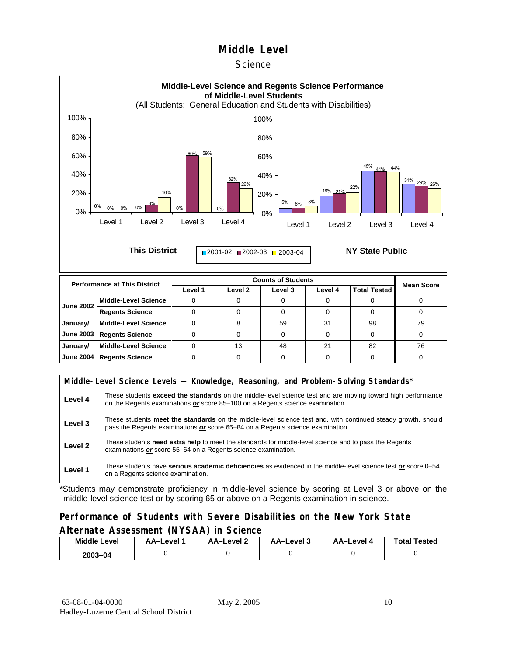#### **Science**



| <b>June 2002</b> | Middle-Level Science        |    |    |          |    |    |
|------------------|-----------------------------|----|----|----------|----|----|
|                  | <b>Regents Science</b>      |    |    |          |    |    |
| January/         | Middle-Level Science        |    | 59 | $\Omega$ | 98 | 79 |
|                  | June 2003   Regents Science |    |    |          |    |    |
| January/         | Middle-Level Science        | 13 | 48 |          | 82 | 76 |
|                  | June 2004   Regents Science |    |    |          |    |    |
|                  |                             |    |    |          |    |    |

| Middle-Level Science Levels — Knowledge, Reasoning, and Problem-Solving Standards* |                                                                                                                                                                                                |  |  |  |
|------------------------------------------------------------------------------------|------------------------------------------------------------------------------------------------------------------------------------------------------------------------------------------------|--|--|--|
| Level 4                                                                            | These students exceed the standards on the middle-level science test and are moving toward high performance<br>on the Regents examinations or score 85–100 on a Regents science examination.   |  |  |  |
| Level 3                                                                            | These students meet the standards on the middle-level science test and, with continued steady growth, should<br>pass the Regents examinations or score 65–84 on a Regents science examination. |  |  |  |
| Level 2                                                                            | These students need extra help to meet the standards for middle-level science and to pass the Regents<br>examinations or score 55-64 on a Regents science examination.                         |  |  |  |
| Level 1                                                                            | These students have serious academic deficiencies as evidenced in the middle-level science test or score 0–54<br>on a Regents science examination.                                             |  |  |  |

\*Students may demonstrate proficiency in middle-level science by scoring at Level 3 or above on the middle-level science test or by scoring 65 or above on a Regents examination in science.

#### **Performance of Students with Severe Disabilities on the New York State Alternate Assessment (NYSAA) in Science**

| <b>Middle Level</b> | AA–Level | AA-Level 2 | AA-Level 3 | <b>AA-Level 4</b> | <b>Total Tested</b> |  |
|---------------------|----------|------------|------------|-------------------|---------------------|--|
| $2003 - 04$         |          |            |            |                   |                     |  |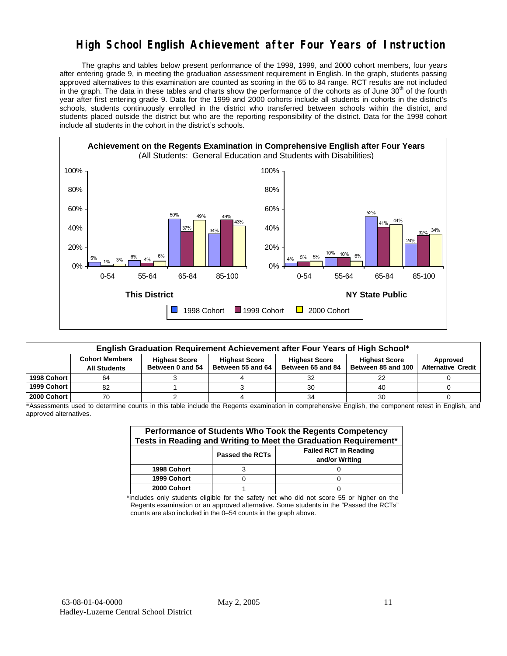## **High School English Achievement after Four Years of Instruction**

 The graphs and tables below present performance of the 1998, 1999, and 2000 cohort members, four years after entering grade 9, in meeting the graduation assessment requirement in English. In the graph, students passing approved alternatives to this examination are counted as scoring in the 65 to 84 range. RCT results are not included in the graph. The data in these tables and charts show the performance of the cohorts as of June 30<sup>th</sup> of the fourth year after first entering grade 9. Data for the 1999 and 2000 cohorts include all students in cohorts in the district's schools, students continuously enrolled in the district who transferred between schools within the district, and students placed outside the district but who are the reporting responsibility of the district. Data for the 1998 cohort include all students in the cohort in the district's schools.



| English Graduation Requirement Achievement after Four Years of High School* |                                                                                                                                                                                                                                                               |  |  |    |    |  |  |  |  |  |
|-----------------------------------------------------------------------------|---------------------------------------------------------------------------------------------------------------------------------------------------------------------------------------------------------------------------------------------------------------|--|--|----|----|--|--|--|--|--|
|                                                                             | <b>Cohort Members</b><br><b>Highest Score</b><br><b>Highest Score</b><br><b>Highest Score</b><br><b>Highest Score</b><br>Between 55 and 64<br>Between 85 and 100<br>Between 0 and 54<br><b>Alternative Credit</b><br>Between 65 and 84<br><b>All Students</b> |  |  |    |    |  |  |  |  |  |
| 1998 Cohort                                                                 | 64                                                                                                                                                                                                                                                            |  |  |    | 22 |  |  |  |  |  |
| 1999 Cohort                                                                 | 82                                                                                                                                                                                                                                                            |  |  | 30 | 40 |  |  |  |  |  |
| 2000 Cohort                                                                 | 70                                                                                                                                                                                                                                                            |  |  | 34 | 30 |  |  |  |  |  |

\*Assessments used to determine counts in this table include the Regents examination in comprehensive English, the component retest in English, and approved alternatives.

| Performance of Students Who Took the Regents Competency<br>Tests in Reading and Writing to Meet the Graduation Requirement* |  |  |  |  |  |  |  |
|-----------------------------------------------------------------------------------------------------------------------------|--|--|--|--|--|--|--|
| <b>Failed RCT in Reading</b><br><b>Passed the RCTs</b><br>and/or Writing                                                    |  |  |  |  |  |  |  |
| 1998 Cohort                                                                                                                 |  |  |  |  |  |  |  |
| 1999 Cohort                                                                                                                 |  |  |  |  |  |  |  |
| 2000 Cohort                                                                                                                 |  |  |  |  |  |  |  |

\*Includes only students eligible for the safety net who did not score 55 or higher on the Regents examination or an approved alternative. Some students in the "Passed the RCTs" counts are also included in the 0–54 counts in the graph above.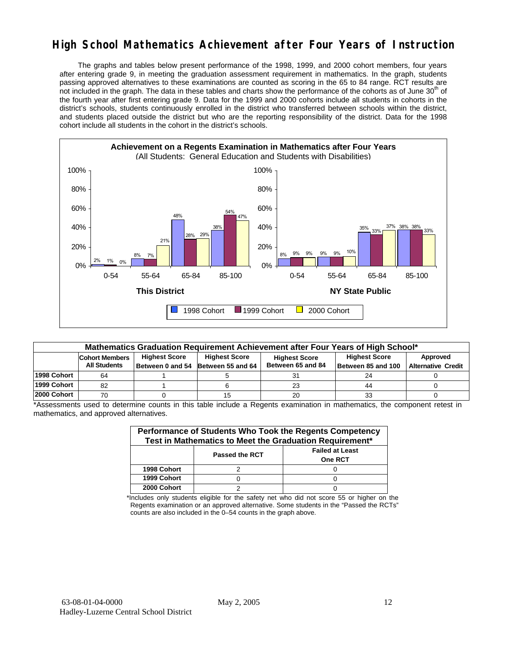## **High School Mathematics Achievement after Four Years of Instruction**

 The graphs and tables below present performance of the 1998, 1999, and 2000 cohort members, four years after entering grade 9, in meeting the graduation assessment requirement in mathematics. In the graph, students passing approved alternatives to these examinations are counted as scoring in the 65 to 84 range. RCT results are not included in the graph. The data in these tables and charts show the performance of the cohorts as of June 30<sup>th</sup> of the fourth year after first entering grade 9. Data for the 1999 and 2000 cohorts include all students in cohorts in the district's schools, students continuously enrolled in the district who transferred between schools within the district, and students placed outside the district but who are the reporting responsibility of the district. Data for the 1998 cohort include all students in the cohort in the district's schools.



| Mathematics Graduation Requirement Achievement after Four Years of High School* |                                                                                                                                                                                                                                                                        |  |  |    |    |  |  |  |  |  |
|---------------------------------------------------------------------------------|------------------------------------------------------------------------------------------------------------------------------------------------------------------------------------------------------------------------------------------------------------------------|--|--|----|----|--|--|--|--|--|
|                                                                                 | <b>Highest Score</b><br><b>Highest Score</b><br><b>Highest Score</b><br>Approved<br><b>Cohort Members</b><br><b>Highest Score</b><br>Between 65 and 84<br><b>All Students</b><br><b>Alternative Credit</b><br>Between 0 and 54 Between 55 and 64<br>Between 85 and 100 |  |  |    |    |  |  |  |  |  |
| 1998 Cohort                                                                     | 64                                                                                                                                                                                                                                                                     |  |  |    | 24 |  |  |  |  |  |
| 1999 Cohort                                                                     | 82                                                                                                                                                                                                                                                                     |  |  | 23 | 44 |  |  |  |  |  |
| 2000 Cohort                                                                     | 70                                                                                                                                                                                                                                                                     |  |  | 20 | 33 |  |  |  |  |  |

\*Assessments used to determine counts in this table include a Regents examination in mathematics, the component retest in mathematics, and approved alternatives.

| Performance of Students Who Took the Regents Competency<br>Test in Mathematics to Meet the Graduation Requirement* |                       |                                          |  |  |  |  |  |
|--------------------------------------------------------------------------------------------------------------------|-----------------------|------------------------------------------|--|--|--|--|--|
|                                                                                                                    | <b>Passed the RCT</b> | <b>Failed at Least</b><br><b>One RCT</b> |  |  |  |  |  |
| 1998 Cohort                                                                                                        |                       |                                          |  |  |  |  |  |
| 1999 Cohort                                                                                                        |                       |                                          |  |  |  |  |  |
| 2000 Cohort                                                                                                        |                       |                                          |  |  |  |  |  |

\*Includes only students eligible for the safety net who did not score 55 or higher on the Regents examination or an approved alternative. Some students in the "Passed the RCTs" counts are also included in the 0–54 counts in the graph above.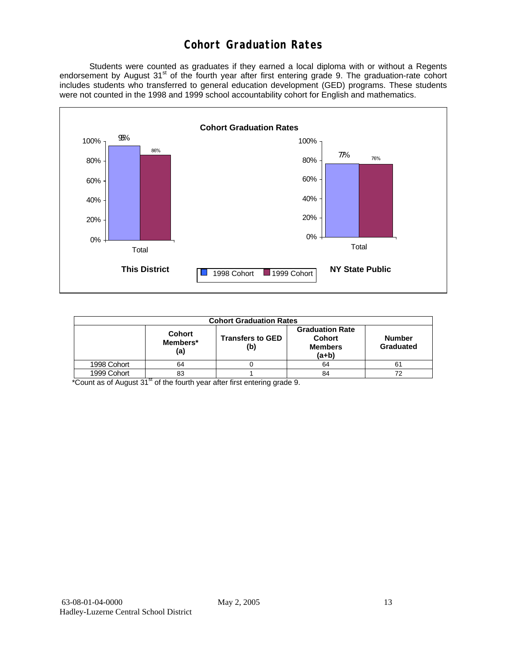## **Cohort Graduation Rates**

 Students were counted as graduates if they earned a local diploma with or without a Regents endorsement by August 31<sup>st</sup> of the fourth year after first entering grade 9. The graduation-rate cohort includes students who transferred to general education development (GED) programs. These students were not counted in the 1998 and 1999 school accountability cohort for English and mathematics.



| <b>Cohort Graduation Rates</b> |                                  |                                |                                                                                                    |    |  |  |  |  |  |
|--------------------------------|----------------------------------|--------------------------------|----------------------------------------------------------------------------------------------------|----|--|--|--|--|--|
|                                | <b>Cohort</b><br>Members*<br>(a) | <b>Transfers to GED</b><br>(b) | <b>Graduation Rate</b><br><b>Cohort</b><br><b>Number</b><br><b>Members</b><br>Graduated<br>$(a+b)$ |    |  |  |  |  |  |
| 1998 Cohort                    | 64                               |                                | 64                                                                                                 | 61 |  |  |  |  |  |
| 1999 Cohort                    | 83                               |                                | 84                                                                                                 | 72 |  |  |  |  |  |

\*Count as of August 31<sup>st</sup> of the fourth year after first entering grade 9.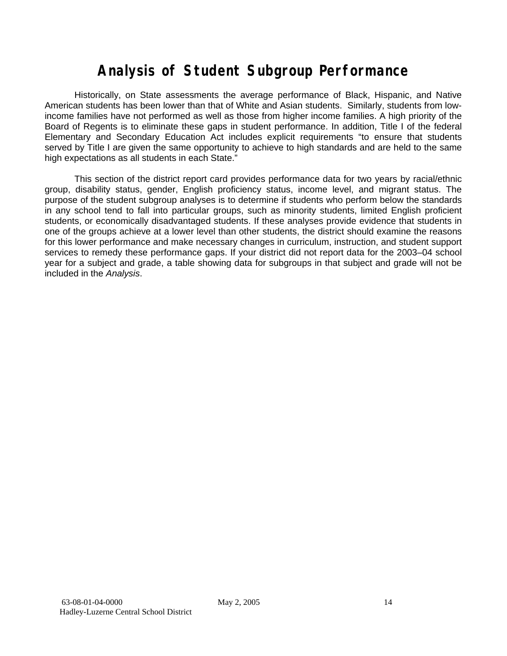# **Analysis of Student Subgroup Performance**

Historically, on State assessments the average performance of Black, Hispanic, and Native American students has been lower than that of White and Asian students. Similarly, students from lowincome families have not performed as well as those from higher income families. A high priority of the Board of Regents is to eliminate these gaps in student performance. In addition, Title I of the federal Elementary and Secondary Education Act includes explicit requirements "to ensure that students served by Title I are given the same opportunity to achieve to high standards and are held to the same high expectations as all students in each State."

This section of the district report card provides performance data for two years by racial/ethnic group, disability status, gender, English proficiency status, income level, and migrant status. The purpose of the student subgroup analyses is to determine if students who perform below the standards in any school tend to fall into particular groups, such as minority students, limited English proficient students, or economically disadvantaged students. If these analyses provide evidence that students in one of the groups achieve at a lower level than other students, the district should examine the reasons for this lower performance and make necessary changes in curriculum, instruction, and student support services to remedy these performance gaps. If your district did not report data for the 2003–04 school year for a subject and grade, a table showing data for subgroups in that subject and grade will not be included in the *Analysis*.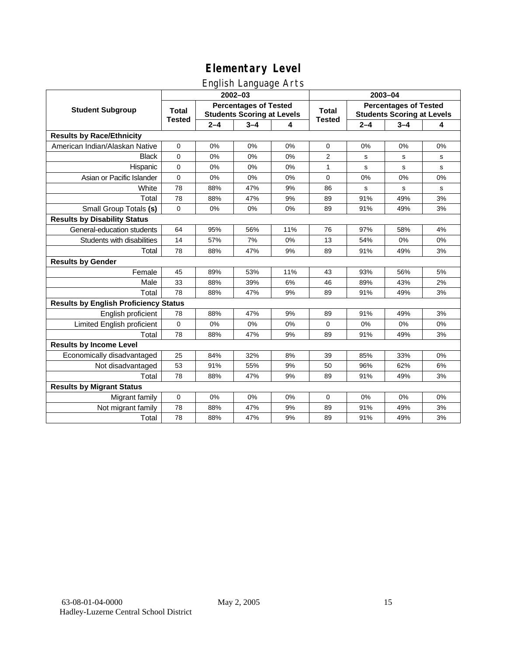### English Language Arts

|                                              |               |         | ັ<br>2002-03                      |     | 2003-04       |             |                                   |    |
|----------------------------------------------|---------------|---------|-----------------------------------|-----|---------------|-------------|-----------------------------------|----|
| <b>Student Subgroup</b>                      | <b>Total</b>  |         | <b>Percentages of Tested</b>      |     | <b>Total</b>  |             | <b>Percentages of Tested</b>      |    |
|                                              | <b>Tested</b> |         | <b>Students Scoring at Levels</b> |     | <b>Tested</b> |             | <b>Students Scoring at Levels</b> |    |
|                                              |               | $2 - 4$ | $3 - 4$                           | 4   |               | $2 - 4$     | $3 - 4$                           | 4  |
| <b>Results by Race/Ethnicity</b>             |               |         |                                   |     |               |             |                                   |    |
| American Indian/Alaskan Native               | 0             | 0%      | 0%                                | 0%  | $\mathbf 0$   | 0%          | 0%                                | 0% |
| <b>Black</b>                                 | 0             | 0%      | 0%                                | 0%  | 2             | s           | s                                 | s  |
| Hispanic                                     | 0             | 0%      | 0%                                | 0%  | $\mathbf{1}$  | s           | s                                 | s  |
| Asian or Pacific Islander                    | 0             | 0%      | 0%                                | 0%  | 0             | 0%          | 0%                                | 0% |
| White                                        | 78            | 88%     | 47%                               | 9%  | 86            | $\mathbf s$ | $\mathbf s$                       | s  |
| Total                                        | 78            | 88%     | 47%                               | 9%  | 89            | 91%         | 49%                               | 3% |
| Small Group Totals (s)                       | 0             | 0%      | 0%                                | 0%  | 89            | 91%         | 49%                               | 3% |
| <b>Results by Disability Status</b>          |               |         |                                   |     |               |             |                                   |    |
| General-education students                   | 64            | 95%     | 56%                               | 11% | 76            | 97%         | 58%                               | 4% |
| Students with disabilities                   | 14            | 57%     | 7%                                | 0%  | 13            | 54%         | 0%                                | 0% |
| Total                                        | 78            | 88%     | 47%                               | 9%  | 89            | 91%         | 49%                               | 3% |
| <b>Results by Gender</b>                     |               |         |                                   |     |               |             |                                   |    |
| Female                                       | 45            | 89%     | 53%                               | 11% | 43            | 93%         | 56%                               | 5% |
| Male                                         | 33            | 88%     | 39%                               | 6%  | 46            | 89%         | 43%                               | 2% |
| Total                                        | 78            | 88%     | 47%                               | 9%  | 89            | 91%         | 49%                               | 3% |
| <b>Results by English Proficiency Status</b> |               |         |                                   |     |               |             |                                   |    |
| English proficient                           | 78            | 88%     | 47%                               | 9%  | 89            | 91%         | 49%                               | 3% |
| Limited English proficient                   | 0             | 0%      | 0%                                | 0%  | 0             | 0%          | 0%                                | 0% |
| Total                                        | 78            | 88%     | 47%                               | 9%  | 89            | 91%         | 49%                               | 3% |
| <b>Results by Income Level</b>               |               |         |                                   |     |               |             |                                   |    |
| Economically disadvantaged                   | 25            | 84%     | 32%                               | 8%  | 39            | 85%         | 33%                               | 0% |
| Not disadvantaged                            | 53            | 91%     | 55%                               | 9%  | 50            | 96%         | 62%                               | 6% |
| Total                                        | 78            | 88%     | 47%                               | 9%  | 89            | 91%         | 49%                               | 3% |
| <b>Results by Migrant Status</b>             |               |         |                                   |     |               |             |                                   |    |
| Migrant family                               | $\mathbf 0$   | 0%      | 0%                                | 0%  | 0             | 0%          | 0%                                | 0% |
| Not migrant family                           | 78            | 88%     | 47%                               | 9%  | 89            | 91%         | 49%                               | 3% |
| Total                                        | 78            | 88%     | 47%                               | 9%  | 89            | 91%         | 49%                               | 3% |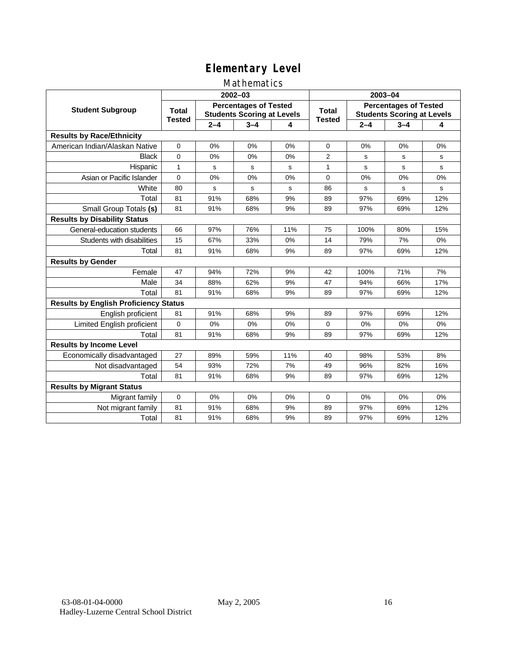#### Mathematics

|                                              |               |         | 2002-03                                                           |     | 2003-04                |                                                                   |             |     |
|----------------------------------------------|---------------|---------|-------------------------------------------------------------------|-----|------------------------|-------------------------------------------------------------------|-------------|-----|
| <b>Student Subgroup</b>                      | <b>Total</b>  |         | <b>Percentages of Tested</b><br><b>Students Scoring at Levels</b> |     | Total<br><b>Tested</b> | <b>Percentages of Tested</b><br><b>Students Scoring at Levels</b> |             |     |
|                                              | <b>Tested</b> | $2 - 4$ | $3 - 4$                                                           | 4   |                        | $2 - 4$                                                           | $3 - 4$     | 4   |
| <b>Results by Race/Ethnicity</b>             |               |         |                                                                   |     |                        |                                                                   |             |     |
| American Indian/Alaskan Native               | $\mathbf{0}$  | 0%      | 0%                                                                | 0%  | $\mathbf 0$            | 0%                                                                | 0%          | 0%  |
| <b>Black</b>                                 | $\Omega$      | 0%      | 0%                                                                | 0%  | $\overline{2}$         | s                                                                 | s           | s   |
| Hispanic                                     | $\mathbf{1}$  | s       | s                                                                 | s   | $\mathbf{1}$           | s                                                                 | s           | s   |
| Asian or Pacific Islander                    | $\mathbf{0}$  | 0%      | 0%                                                                | 0%  | 0                      | 0%                                                                | 0%          | 0%  |
| White                                        | 80            | s       | $\mathbf s$                                                       | s   | 86                     | s                                                                 | $\mathbf s$ | s   |
| Total                                        | 81            | 91%     | 68%                                                               | 9%  | 89                     | 97%                                                               | 69%         | 12% |
| Small Group Totals (s)                       | 81            | 91%     | 68%                                                               | 9%  | 89                     | 97%                                                               | 69%         | 12% |
| <b>Results by Disability Status</b>          |               |         |                                                                   |     |                        |                                                                   |             |     |
| General-education students                   | 66            | 97%     | 76%                                                               | 11% | 75                     | 100%                                                              | 80%         | 15% |
| Students with disabilities                   | 15            | 67%     | 33%                                                               | 0%  | 14                     | 79%                                                               | 7%          | 0%  |
| Total                                        | 81            | 91%     | 68%                                                               | 9%  | 89                     | 97%                                                               | 69%         | 12% |
| <b>Results by Gender</b>                     |               |         |                                                                   |     |                        |                                                                   |             |     |
| Female                                       | 47            | 94%     | 72%                                                               | 9%  | 42                     | 100%                                                              | 71%         | 7%  |
| Male                                         | 34            | 88%     | 62%                                                               | 9%  | 47                     | 94%                                                               | 66%         | 17% |
| Total                                        | 81            | 91%     | 68%                                                               | 9%  | 89                     | 97%                                                               | 69%         | 12% |
| <b>Results by English Proficiency Status</b> |               |         |                                                                   |     |                        |                                                                   |             |     |
| English proficient                           | 81            | 91%     | 68%                                                               | 9%  | 89                     | 97%                                                               | 69%         | 12% |
| Limited English proficient                   | $\mathbf 0$   | 0%      | 0%                                                                | 0%  | 0                      | 0%                                                                | 0%          | 0%  |
| Total                                        | 81            | 91%     | 68%                                                               | 9%  | 89                     | 97%                                                               | 69%         | 12% |
| <b>Results by Income Level</b>               |               |         |                                                                   |     |                        |                                                                   |             |     |
| Economically disadvantaged                   | 27            | 89%     | 59%                                                               | 11% | 40                     | 98%                                                               | 53%         | 8%  |
| Not disadvantaged                            | 54            | 93%     | 72%                                                               | 7%  | 49                     | 96%                                                               | 82%         | 16% |
| Total                                        | 81            | 91%     | 68%                                                               | 9%  | 89                     | 97%                                                               | 69%         | 12% |
| <b>Results by Migrant Status</b>             |               |         |                                                                   |     |                        |                                                                   |             |     |
| Migrant family                               | 0             | 0%      | 0%                                                                | 0%  | 0                      | 0%                                                                | 0%          | 0%  |
| Not migrant family                           | 81            | 91%     | 68%                                                               | 9%  | 89                     | 97%                                                               | 69%         | 12% |
| Total                                        | 81            | 91%     | 68%                                                               | 9%  | 89                     | 97%                                                               | 69%         | 12% |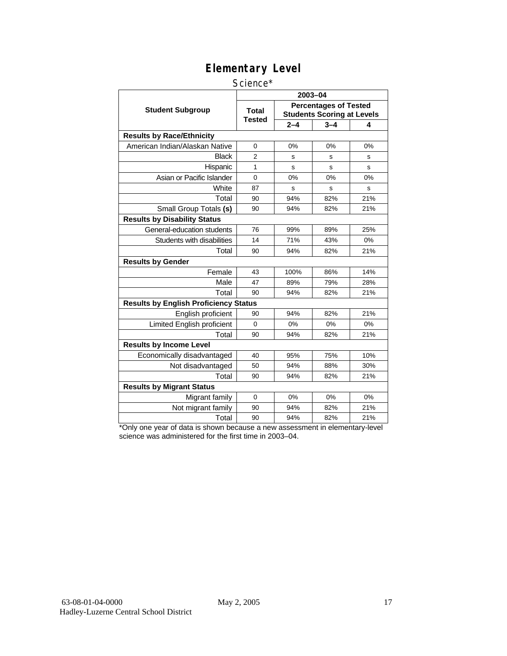#### Science\*

|                                              |                        |         | 2003-04                                                           |     |
|----------------------------------------------|------------------------|---------|-------------------------------------------------------------------|-----|
| <b>Student Subgroup</b>                      | <b>Total</b><br>Tested |         | <b>Percentages of Tested</b><br><b>Students Scoring at Levels</b> |     |
|                                              |                        | $2 - 4$ | $3 - 4$                                                           | 4   |
| <b>Results by Race/Ethnicity</b>             |                        |         |                                                                   |     |
| American Indian/Alaskan Native               | $\Omega$               | 0%      | 0%                                                                | 0%  |
| <b>Black</b>                                 | $\overline{2}$         | s       | s                                                                 | s   |
| Hispanic                                     | 1                      | S       | s                                                                 | S   |
| Asian or Pacific Islander                    | 0                      | 0%      | 0%                                                                | 0%  |
| White                                        | 87                     | s       | s                                                                 | s   |
| Total                                        | 90                     | 94%     | 82%                                                               | 21% |
| Small Group Totals (s)                       | 90                     | 94%     | 82%                                                               | 21% |
| <b>Results by Disability Status</b>          |                        |         |                                                                   |     |
| General-education students                   | 76                     | 99%     | 89%                                                               | 25% |
| Students with disabilities                   | 14                     | 71%     | 43%                                                               | 0%  |
| Total                                        | 90                     | 94%     | 82%                                                               | 21% |
| <b>Results by Gender</b>                     |                        |         |                                                                   |     |
| Female                                       | 43                     | 100%    | 86%                                                               | 14% |
| Male                                         | 47                     | 89%     | 79%                                                               | 28% |
| Total                                        | 90                     | 94%     | 82%                                                               | 21% |
| <b>Results by English Proficiency Status</b> |                        |         |                                                                   |     |
| English proficient                           | 90                     | 94%     | 82%                                                               | 21% |
| Limited English proficient                   | $\Omega$               | 0%      | 0%                                                                | 0%  |
| Total                                        | 90                     | 94%     | 82%                                                               | 21% |
| <b>Results by Income Level</b>               |                        |         |                                                                   |     |
| Economically disadvantaged                   | 40                     | 95%     | 75%                                                               | 10% |
| Not disadvantaged                            | 50                     | 94%     | 88%                                                               | 30% |
| Total                                        | 90                     | 94%     | 82%                                                               | 21% |
| <b>Results by Migrant Status</b>             |                        |         |                                                                   |     |
| Migrant family                               | 0                      | 0%      | 0%                                                                | 0%  |
| Not migrant family                           | 90                     | 94%     | 82%                                                               | 21% |
| Total                                        | 90                     | 94%     | 82%                                                               | 21% |

\*Only one year of data is shown because a new assessment in elementary-level science was administered for the first time in 2003–04.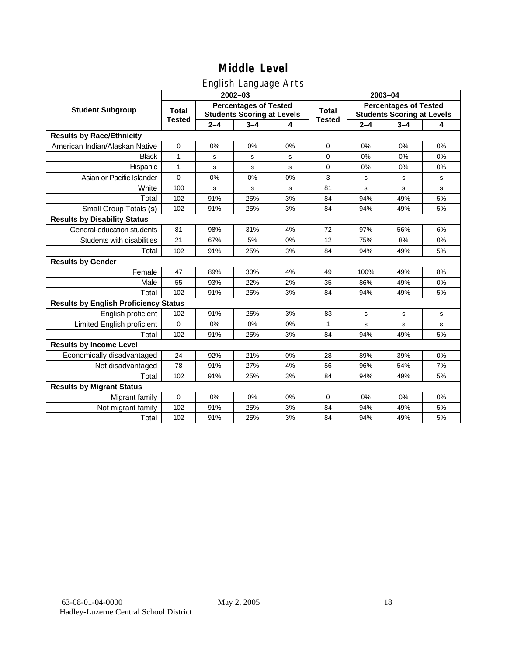### English Language Arts

|                                              |                               |             | ັ<br>2002-03                                                      |    | 2003-04                       |                                                                   |             |             |
|----------------------------------------------|-------------------------------|-------------|-------------------------------------------------------------------|----|-------------------------------|-------------------------------------------------------------------|-------------|-------------|
| <b>Student Subgroup</b>                      | <b>Total</b><br><b>Tested</b> |             | <b>Percentages of Tested</b><br><b>Students Scoring at Levels</b> |    | <b>Total</b><br><b>Tested</b> | <b>Percentages of Tested</b><br><b>Students Scoring at Levels</b> |             |             |
|                                              |                               | $2 - 4$     | $3 - 4$                                                           | 4  |                               | $2 - 4$                                                           | $3 - 4$     | 4           |
| <b>Results by Race/Ethnicity</b>             |                               |             |                                                                   |    |                               |                                                                   |             |             |
| American Indian/Alaskan Native               | $\pmb{0}$                     | 0%          | 0%                                                                | 0% | 0                             | 0%                                                                | 0%          | 0%          |
| <b>Black</b>                                 | $\mathbf{1}$                  | s           | s                                                                 | s  | 0                             | 0%                                                                | 0%          | 0%          |
| Hispanic                                     | $\mathbf{1}$                  | s           | s                                                                 | s  | $\mathbf 0$                   | 0%                                                                | 0%          | 0%          |
| Asian or Pacific Islander                    | $\mathbf 0$                   | 0%          | 0%                                                                | 0% | 3                             | s                                                                 | s           | s           |
| White                                        | 100                           | $\mathbf s$ | s                                                                 | s  | 81                            | s                                                                 | $\mathbf s$ | s           |
| Total                                        | 102                           | 91%         | 25%                                                               | 3% | 84                            | 94%                                                               | 49%         | 5%          |
| Small Group Totals (s)                       | 102                           | 91%         | 25%                                                               | 3% | 84                            | 94%                                                               | 49%         | 5%          |
| <b>Results by Disability Status</b>          |                               |             |                                                                   |    |                               |                                                                   |             |             |
| General-education students                   | 81                            | 98%         | 31%                                                               | 4% | 72                            | 97%                                                               | 56%         | 6%          |
| Students with disabilities                   | 21                            | 67%         | 5%                                                                | 0% | 12                            | 75%                                                               | 8%          | $0\%$       |
| Total                                        | 102                           | 91%         | 25%                                                               | 3% | 84                            | 94%                                                               | 49%         | 5%          |
| <b>Results by Gender</b>                     |                               |             |                                                                   |    |                               |                                                                   |             |             |
| Female                                       | 47                            | 89%         | 30%                                                               | 4% | 49                            | 100%                                                              | 49%         | 8%          |
| Male                                         | 55                            | 93%         | 22%                                                               | 2% | 35                            | 86%                                                               | 49%         | 0%          |
| Total                                        | 102                           | 91%         | 25%                                                               | 3% | 84                            | 94%                                                               | 49%         | 5%          |
| <b>Results by English Proficiency Status</b> |                               |             |                                                                   |    |                               |                                                                   |             |             |
| English proficient                           | 102                           | 91%         | 25%                                                               | 3% | 83                            | s                                                                 | s           | s           |
| Limited English proficient                   | 0                             | 0%          | 0%                                                                | 0% | 1                             | s                                                                 | $\mathbf s$ | $\mathbf s$ |
| Total                                        | 102                           | 91%         | 25%                                                               | 3% | 84                            | 94%                                                               | 49%         | 5%          |
| <b>Results by Income Level</b>               |                               |             |                                                                   |    |                               |                                                                   |             |             |
| Economically disadvantaged                   | 24                            | 92%         | 21%                                                               | 0% | 28                            | 89%                                                               | 39%         | 0%          |
| Not disadvantaged                            | 78                            | 91%         | 27%                                                               | 4% | 56                            | 96%                                                               | 54%         | 7%          |
| Total                                        | 102                           | 91%         | 25%                                                               | 3% | 84                            | 94%                                                               | 49%         | 5%          |
| <b>Results by Migrant Status</b>             |                               |             |                                                                   |    |                               |                                                                   |             |             |
| Migrant family                               | $\mathbf 0$                   | 0%          | 0%                                                                | 0% | 0                             | 0%                                                                | 0%          | 0%          |
| Not migrant family                           | 102                           | 91%         | 25%                                                               | 3% | 84                            | 94%                                                               | 49%         | 5%          |
| Total                                        | 102                           | 91%         | 25%                                                               | 3% | 84                            | 94%                                                               | 49%         | 5%          |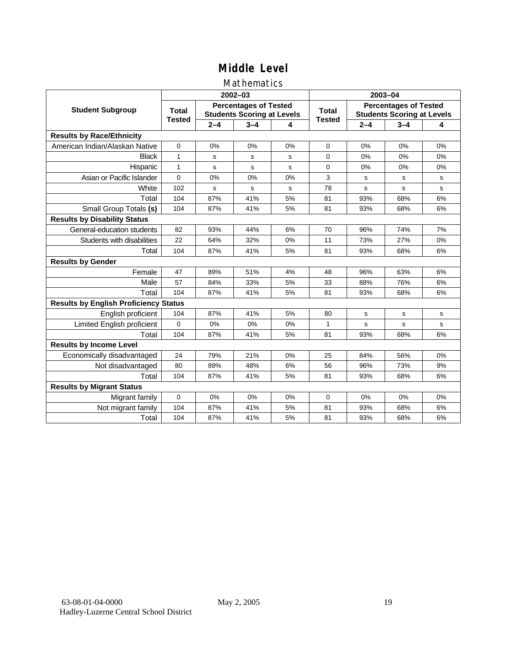#### Mathematics

|                                              |               |         | 2002-03                                                           |    | 2003-04                       |                                                                   |             |             |
|----------------------------------------------|---------------|---------|-------------------------------------------------------------------|----|-------------------------------|-------------------------------------------------------------------|-------------|-------------|
| <b>Student Subgroup</b>                      | <b>Total</b>  |         | <b>Percentages of Tested</b><br><b>Students Scoring at Levels</b> |    | <b>Total</b><br><b>Tested</b> | <b>Percentages of Tested</b><br><b>Students Scoring at Levels</b> |             |             |
|                                              | <b>Tested</b> | $2 - 4$ | $3 - 4$                                                           | 4  |                               | $2 - 4$                                                           | $3 - 4$     | 4           |
| <b>Results by Race/Ethnicity</b>             |               |         |                                                                   |    |                               |                                                                   |             |             |
| American Indian/Alaskan Native               | $\mathbf{0}$  | 0%      | 0%                                                                | 0% | $\mathbf 0$                   | 0%                                                                | 0%          | 0%          |
| <b>Black</b>                                 | 1             | s       | s                                                                 | s  | $\Omega$                      | 0%                                                                | 0%          | 0%          |
| Hispanic                                     | $\mathbf{1}$  | s       | s                                                                 | s  | 0                             | 0%                                                                | 0%          | 0%          |
| Asian or Pacific Islander                    | $\Omega$      | 0%      | 0%                                                                | 0% | 3                             | s                                                                 | s           | s           |
| White                                        | 102           | s       | $\mathbf s$                                                       | s  | 78                            | $\mathbf s$                                                       | s           | $\mathbf s$ |
| Total                                        | 104           | 87%     | 41%                                                               | 5% | 81                            | 93%                                                               | 68%         | 6%          |
| Small Group Totals (s)                       | 104           | 87%     | 41%                                                               | 5% | 81                            | 93%                                                               | 68%         | 6%          |
| <b>Results by Disability Status</b>          |               |         |                                                                   |    |                               |                                                                   |             |             |
| General-education students                   | 82            | 93%     | 44%                                                               | 6% | 70                            | 96%                                                               | 74%         | 7%          |
| Students with disabilities                   | 22            | 64%     | 32%                                                               | 0% | 11                            | 73%                                                               | 27%         | 0%          |
| Total                                        | 104           | 87%     | 41%                                                               | 5% | 81                            | 93%                                                               | 68%         | 6%          |
| <b>Results by Gender</b>                     |               |         |                                                                   |    |                               |                                                                   |             |             |
| Female                                       | 47            | 89%     | 51%                                                               | 4% | 48                            | 96%                                                               | 63%         | 6%          |
| Male                                         | 57            | 84%     | 33%                                                               | 5% | 33                            | 88%                                                               | 76%         | 6%          |
| Total                                        | 104           | 87%     | 41%                                                               | 5% | 81                            | 93%                                                               | 68%         | 6%          |
| <b>Results by English Proficiency Status</b> |               |         |                                                                   |    |                               |                                                                   |             |             |
| English proficient                           | 104           | 87%     | 41%                                                               | 5% | 80                            | $\mathbf s$                                                       | $\mathbf s$ | s           |
| Limited English proficient                   | $\mathbf 0$   | 0%      | 0%                                                                | 0% | $\mathbf{1}$                  | s                                                                 | s           | s           |
| Total                                        | 104           | 87%     | 41%                                                               | 5% | 81                            | 93%                                                               | 68%         | 6%          |
| <b>Results by Income Level</b>               |               |         |                                                                   |    |                               |                                                                   |             |             |
| Economically disadvantaged                   | 24            | 79%     | 21%                                                               | 0% | 25                            | 84%                                                               | 56%         | 0%          |
| Not disadvantaged                            | 80            | 89%     | 48%                                                               | 6% | 56                            | 96%                                                               | 73%         | 9%          |
| Total                                        | 104           | 87%     | 41%                                                               | 5% | 81                            | 93%                                                               | 68%         | 6%          |
| <b>Results by Migrant Status</b>             |               |         |                                                                   |    |                               |                                                                   |             |             |
| Migrant family                               | 0             | 0%      | 0%                                                                | 0% | 0                             | 0%                                                                | 0%          | 0%          |
| Not migrant family                           | 104           | 87%     | 41%                                                               | 5% | 81                            | 93%                                                               | 68%         | 6%          |
| Total                                        | 104           | 87%     | 41%                                                               | 5% | 81                            | 93%                                                               | 68%         | 6%          |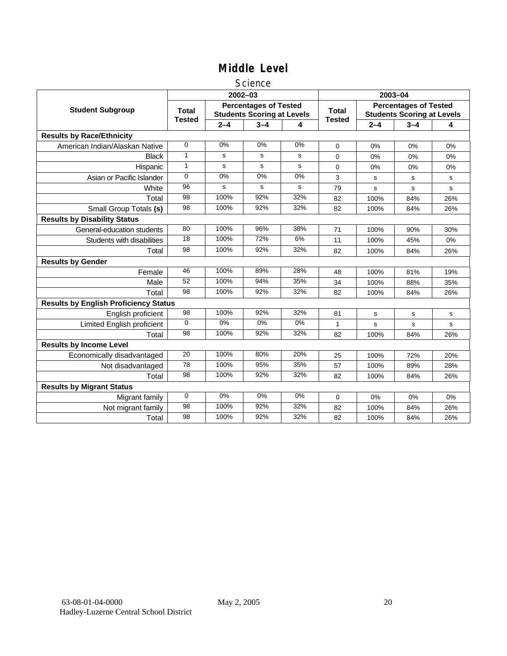#### **Science**

|                                              |                               |             | $2002 - 03$                                                       |       | 2003-04                       |                                                                   |         |     |
|----------------------------------------------|-------------------------------|-------------|-------------------------------------------------------------------|-------|-------------------------------|-------------------------------------------------------------------|---------|-----|
| <b>Student Subgroup</b>                      | <b>Total</b><br><b>Tested</b> |             | <b>Percentages of Tested</b><br><b>Students Scoring at Levels</b> |       | <b>Total</b><br><b>Tested</b> | <b>Percentages of Tested</b><br><b>Students Scoring at Levels</b> |         |     |
|                                              |                               | $2 - 4$     | $3 - 4$                                                           | 4     |                               | $2 - 4$                                                           | $3 - 4$ | 4   |
| <b>Results by Race/Ethnicity</b>             |                               |             |                                                                   |       |                               |                                                                   |         |     |
| American Indian/Alaskan Native               | $\Omega$                      | 0%          | 0%                                                                | 0%    | $\mathbf 0$                   | 0%                                                                | 0%      | 0%  |
| <b>Black</b>                                 | 1                             | s           | s                                                                 | s     | 0                             | $0\%$                                                             | 0%      | 0%  |
| Hispanic                                     | $\mathbf{1}$                  | $\mathbf s$ | s                                                                 | s     | $\Omega$                      | 0%                                                                | 0%      | 0%  |
| Asian or Pacific Islander                    | $\Omega$                      | 0%          | 0%                                                                | 0%    | 3                             | s                                                                 | s       | s   |
| White                                        | 96                            | s           | s                                                                 | s     | 79                            | $\mathbf s$                                                       | s       | s   |
| Total                                        | 98                            | 100%        | 92%                                                               | 32%   | 82                            | 100%                                                              | 84%     | 26% |
| Small Group Totals (s)                       | 98                            | 100%        | 92%                                                               | 32%   | 82                            | 100%                                                              | 84%     | 26% |
| <b>Results by Disability Status</b>          |                               |             |                                                                   |       |                               |                                                                   |         |     |
| General-education students                   | 80                            | 100%        | 96%                                                               | 38%   | 71                            | 100%                                                              | 90%     | 30% |
| Students with disabilities                   | 18                            | 100%        | 72%                                                               | 6%    | 11                            | 100%                                                              | 45%     | 0%  |
| Total                                        | 98                            | 100%        | 92%                                                               | 32%   | 82                            | 100%                                                              | 84%     | 26% |
| <b>Results by Gender</b>                     |                               |             |                                                                   |       |                               |                                                                   |         |     |
| Female                                       | 46                            | 100%        | 89%                                                               | 28%   | 48                            | 100%                                                              | 81%     | 19% |
| Male                                         | 52                            | 100%        | 94%                                                               | 35%   | 34                            | 100%                                                              | 88%     | 35% |
| Total                                        | 98                            | 100%        | 92%                                                               | 32%   | 82                            | 100%                                                              | 84%     | 26% |
| <b>Results by English Proficiency Status</b> |                               |             |                                                                   |       |                               |                                                                   |         |     |
| English proficient                           | 98                            | 100%        | 92%                                                               | 32%   | 81                            | $\mathbf s$                                                       | s       | s   |
| Limited English proficient                   | $\Omega$                      | $0\%$       | $0\%$                                                             | $0\%$ | 1                             | s                                                                 | s       | s   |
| Total                                        | 98                            | 100%        | 92%                                                               | 32%   | 82                            | 100%                                                              | 84%     | 26% |
| <b>Results by Income Level</b>               |                               |             |                                                                   |       |                               |                                                                   |         |     |
| Economically disadvantaged                   | 20                            | 100%        | 80%                                                               | 20%   | 25                            | 100%                                                              | 72%     | 20% |
| Not disadvantaged                            | 78                            | 100%        | 95%                                                               | 35%   | 57                            | 100%                                                              | 89%     | 28% |
| Total                                        | 98                            | 100%        | 92%                                                               | 32%   | 82                            | 100%                                                              | 84%     | 26% |
| <b>Results by Migrant Status</b>             |                               |             |                                                                   |       |                               |                                                                   |         |     |
| Migrant family                               | $\mathbf 0$                   | 0%          | 0%                                                                | 0%    | 0                             | 0%                                                                | 0%      | 0%  |
| Not migrant family                           | 98                            | 100%        | 92%                                                               | 32%   | 82                            | 100%                                                              | 84%     | 26% |
| Total                                        | 98                            | 100%        | 92%                                                               | 32%   | 82                            | 100%                                                              | 84%     | 26% |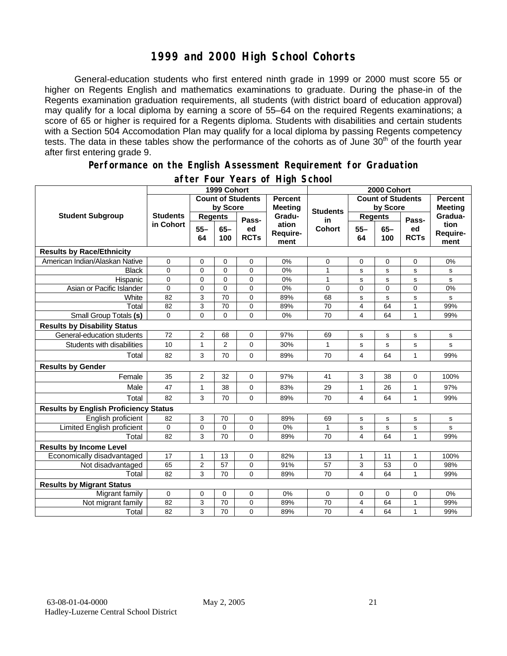### **1999 and 2000 High School Cohorts**

General-education students who first entered ninth grade in 1999 or 2000 must score 55 or higher on Regents English and mathematics examinations to graduate. During the phase-in of the Regents examination graduation requirements, all students (with district board of education approval) may qualify for a local diploma by earning a score of 55–64 on the required Regents examinations; a score of 65 or higher is required for a Regents diploma. Students with disabilities and certain students with a Section 504 Accomodation Plan may qualify for a local diploma by passing Regents competency tests. The data in these tables show the performance of the cohorts as of June 30<sup>th</sup> of the fourth year after first entering grade 9.

#### **Performance on the English Assessment Requirement for Graduation**

|                                              | 1999 Cohort                  |                          |                |                   |                                  | 2000 Cohort     |                         |                          |                   |                          |  |
|----------------------------------------------|------------------------------|--------------------------|----------------|-------------------|----------------------------------|-----------------|-------------------------|--------------------------|-------------------|--------------------------|--|
| <b>Student Subgroup</b>                      |                              | <b>Count of Students</b> |                |                   | <b>Percent</b><br><b>Meeting</b> |                 |                         | <b>Count of Students</b> |                   | <b>Percent</b>           |  |
|                                              | <b>Students</b><br>in Cohort | by Score                 |                |                   |                                  | <b>Students</b> | by Score                |                          |                   | <b>Meeting</b>           |  |
|                                              |                              | <b>Regents</b>           |                | Pass-             | Gradu-                           | in              | <b>Regents</b>          |                          | Pass-             | Gradua-                  |  |
|                                              |                              | $55 -$<br>64             | $65 -$<br>100  | ed<br><b>RCTs</b> | ation<br>Require-<br>ment        | Cohort          | $55 -$<br>64            | $65 -$<br>100            | ed<br><b>RCTs</b> | tion<br>Require-<br>ment |  |
| <b>Results by Race/Ethnicity</b>             |                              |                          |                |                   |                                  |                 |                         |                          |                   |                          |  |
| American Indian/Alaskan Native               | 0                            | 0                        | 0              | $\mathbf 0$       | 0%                               | 0               | 0                       | 0                        | $\Omega$          | 0%                       |  |
| <b>Black</b>                                 | 0                            | 0                        | 0              | 0                 | 0%                               | 1               | s                       | s                        | s                 | s                        |  |
| Hispanic                                     | $\mathbf 0$                  | 0                        | $\Omega$       | 0                 | 0%                               | 1               | $\mathbf s$             | s                        | s                 | s                        |  |
| Asian or Pacific Islander                    | 0                            | 0                        | $\mathbf 0$    | $\mathbf 0$       | 0%                               | 0               | $\overline{0}$          | 0                        | $\mathbf 0$       | 0%                       |  |
| White                                        | 82                           | 3                        | 70             | $\Omega$          | 89%                              | 68              | s                       | s                        | s                 | s                        |  |
| Total                                        | 82                           | 3                        | 70             | $\mathbf 0$       | 89%                              | 70              | $\overline{4}$          | 64                       | 1                 | 99%                      |  |
| Small Group Totals (s)                       | 0                            | 0                        | $\mathbf 0$    | $\Omega$          | 0%                               | 70              | $\overline{\mathbf{4}}$ | 64                       | $\mathbf{1}$      | 99%                      |  |
| <b>Results by Disability Status</b>          |                              |                          |                |                   |                                  |                 |                         |                          |                   |                          |  |
| General-education students                   | 72                           | $\overline{2}$           | 68             | $\mathbf 0$       | 97%                              | 69              | s                       | s                        | s                 | s                        |  |
| Students with disabilities                   | 10                           | $\mathbf{1}$             | $\overline{2}$ | $\Omega$          | 30%                              | 1               | s                       | s                        | s                 | s                        |  |
| Total                                        | 82                           | 3                        | 70             | $\mathbf 0$       | 89%                              | 70              | $\overline{4}$          | 64                       | 1                 | 99%                      |  |
| <b>Results by Gender</b>                     |                              |                          |                |                   |                                  |                 |                         |                          |                   |                          |  |
| Female                                       | 35                           | $\overline{2}$           | 32             | $\mathbf 0$       | 97%                              | 41              | 3                       | 38                       | $\mathbf 0$       | 100%                     |  |
| Male                                         | 47                           | 1                        | 38             | $\mathbf 0$       | 83%                              | 29              | 1                       | 26                       | 1                 | 97%                      |  |
| Total                                        | 82                           | 3                        | 70             | $\Omega$          | 89%                              | 70              | $\overline{\mathbf{4}}$ | 64                       | 1                 | 99%                      |  |
| <b>Results by English Proficiency Status</b> |                              |                          |                |                   |                                  |                 |                         |                          |                   |                          |  |
| English proficient                           | 82                           | 3                        | 70             | 0                 | 89%                              | 69              | $\mathbf s$             | s                        | s                 | s                        |  |
| Limited English proficient                   | $\mathbf 0$                  | 0                        | 0              | $\mathbf 0$       | 0%                               | 1               | s                       | s                        | S                 | s                        |  |
| Total                                        | 82                           | 3                        | 70             | 0                 | 89%                              | 70              | 4                       | 64                       | 1                 | 99%                      |  |
| <b>Results by Income Level</b>               |                              |                          |                |                   |                                  |                 |                         |                          |                   |                          |  |
| Economically disadvantaged                   | 17                           | $\mathbf{1}$             | 13             | $\mathbf 0$       | 82%                              | 13              | $\mathbf{1}$            | 11                       | $\mathbf{1}$      | 100%                     |  |
| Not disadvantaged                            | 65                           | $\overline{c}$           | 57             | 0                 | 91%                              | 57              | 3                       | 53                       | 0                 | 98%                      |  |
| Total                                        | 82                           | 3                        | 70             | $\Omega$          | 89%                              | 70              | 4                       | 64                       | 1                 | 99%                      |  |
| <b>Results by Migrant Status</b>             |                              |                          |                |                   |                                  |                 |                         |                          |                   |                          |  |
| Migrant family                               | $\mathbf 0$                  | 0                        | 0              | $\mathbf 0$       | 0%                               | 0               | 0                       | 0                        | $\mathbf 0$       | 0%                       |  |
| Not migrant family                           | 82                           | 3                        | 70             | 0                 | 89%                              | 70              | 4                       | 64                       | 1                 | 99%                      |  |
| Total                                        | 82                           | 3                        | 70             | $\Omega$          | 89%                              | 70              | 4                       | 64                       | 1                 | 99%                      |  |

#### **after Four Years of High School**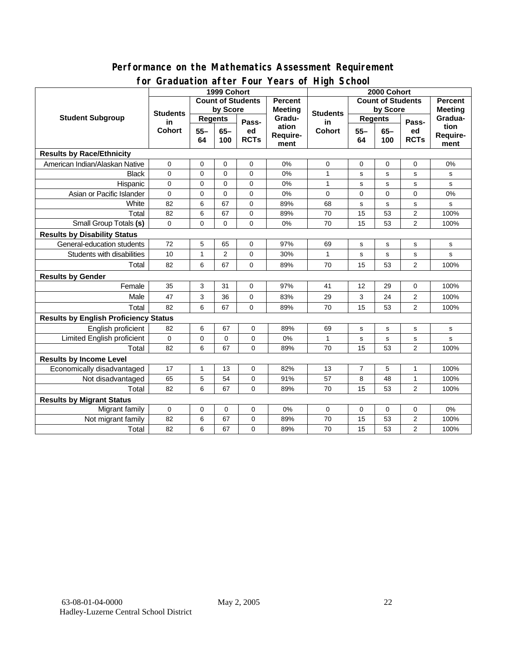#### **Performance on the Mathematics Assessment Requirement for Graduation after Four Years of High School**

|                                              | oraaaanon artor roor                    |                |                | n vara vi myn avnou<br>2000 Cohort |                           |                 |                          |              |                   |                          |
|----------------------------------------------|-----------------------------------------|----------------|----------------|------------------------------------|---------------------------|-----------------|--------------------------|--------------|-------------------|--------------------------|
|                                              | 1999 Cohort<br><b>Count of Students</b> |                |                |                                    | <b>Percent</b>            |                 | <b>Count of Students</b> |              |                   | <b>Percent</b>           |
| <b>Student Subgroup</b>                      | <b>Students</b><br>in<br><b>Cohort</b>  | by Score       |                |                                    | <b>Meeting</b>            | <b>Students</b> | by Score                 |              |                   | <b>Meeting</b>           |
|                                              |                                         | <b>Regents</b> |                | Pass-                              | Gradu-                    | in              | <b>Regents</b>           |              | Pass-             | Gradua-                  |
|                                              |                                         | $55 -$<br>64   | $65-$<br>100   | ed<br><b>RCTs</b>                  | ation<br>Require-<br>ment | <b>Cohort</b>   | $55 -$<br>64             | $65-$<br>100 | ed<br><b>RCTs</b> | tion<br>Require-<br>ment |
| <b>Results by Race/Ethnicity</b>             |                                         |                |                |                                    |                           |                 |                          |              |                   |                          |
| American Indian/Alaskan Native               | 0                                       | $\mathbf 0$    | $\mathbf 0$    | $\mathbf 0$                        | 0%                        | 0               | $\mathbf 0$              | $\mathbf 0$  | $\mathbf 0$       | 0%                       |
| <b>Black</b>                                 | $\Omega$                                | $\Omega$       | $\Omega$       | $\Omega$                           | 0%                        | $\mathbf{1}$    | s                        | $\mathbf s$  | s                 | s                        |
| Hispanic                                     | 0                                       | $\mathbf 0$    | $\Omega$       | $\mathbf 0$                        | 0%                        | $\mathbf{1}$    | s                        | $\mathbf s$  | s                 | s                        |
| Asian or Pacific Islander                    | $\mathbf 0$                             | 0              | $\mathbf 0$    | $\mathsf{O}\xspace$                | 0%                        | 0               | $\mathbf 0$              | 0            | 0                 | 0%                       |
| White                                        | 82                                      | 6              | 67             | $\mathbf 0$                        | 89%                       | 68              | s                        | $\mathbf s$  | s                 | s                        |
| Total                                        | 82                                      | 6              | 67             | 0                                  | 89%                       | 70              | 15                       | 53           | $\mathbf{2}$      | 100%                     |
| Small Group Totals (s)                       | 0                                       | 0              | 0              | $\mathbf 0$                        | 0%                        | 70              | 15                       | 53           | $\overline{2}$    | 100%                     |
| <b>Results by Disability Status</b>          |                                         |                |                |                                    |                           |                 |                          |              |                   |                          |
| General-education students                   | 72                                      | 5              | 65             | 0                                  | 97%                       | 69              | s                        | s            | s                 | s                        |
| Students with disabilities                   | 10                                      | 1              | $\overline{2}$ | $\mathbf 0$                        | 30%                       | 1               | s                        | $\mathbf s$  | s                 | s                        |
| Total                                        | 82                                      | 6              | 67             | $\Omega$                           | 89%                       | 70              | 15                       | 53           | $\overline{2}$    | 100%                     |
| <b>Results by Gender</b>                     |                                         |                |                |                                    |                           |                 |                          |              |                   |                          |
| Female                                       | 35                                      | 3              | 31             | 0                                  | 97%                       | 41              | 12                       | 29           | 0                 | 100%                     |
| Male                                         | 47                                      | 3              | 36             | $\mathsf{O}\xspace$                | 83%                       | 29              | 3                        | 24           | $\overline{2}$    | 100%                     |
| Total                                        | 82                                      | 6              | 67             | $\mathbf 0$                        | 89%                       | 70              | 15                       | 53           | $\overline{2}$    | 100%                     |
| <b>Results by English Proficiency Status</b> |                                         |                |                |                                    |                           |                 |                          |              |                   |                          |
| English proficient                           | 82                                      | 6              | 67             | $\mathbf 0$                        | 89%                       | 69              | s                        | s            | ${\tt s}$         | s                        |
| Limited English proficient                   | 0                                       | 0              | 0              | 0                                  | 0%                        | 1               | s                        | $\mathbf s$  | $\mathbf s$       | s                        |
| Total                                        | 82                                      | 6              | 67             | $\mathbf 0$                        | 89%                       | 70              | 15                       | 53           | $\overline{2}$    | 100%                     |
| <b>Results by Income Level</b>               |                                         |                |                |                                    |                           |                 |                          |              |                   |                          |
| Economically disadvantaged                   | 17                                      | 1              | 13             | 0                                  | 82%                       | 13              | $\overline{7}$           | 5            | 1                 | 100%                     |
| Not disadvantaged                            | 65                                      | $\mathbf 5$    | 54             | $\mathbf 0$                        | 91%                       | 57              | 8                        | 48           | $\mathbf{1}$      | 100%                     |
| Total                                        | 82                                      | 6              | 67             | 0                                  | 89%                       | 70              | 15                       | 53           | 2                 | 100%                     |
| <b>Results by Migrant Status</b>             |                                         |                |                |                                    |                           |                 |                          |              |                   |                          |
| Migrant family                               | $\mathbf 0$                             | 0              | 0              | $\mathbf 0$                        | 0%                        | 0               | 0                        | 0            | 0                 | 0%                       |
| Not migrant family                           | 82                                      | 6              | 67             | 0                                  | 89%                       | 70              | 15                       | 53           | $\mathbf{2}$      | 100%                     |
| Total                                        | 82                                      | 6              | 67             | 0                                  | 89%                       | 70              | 15                       | 53           | $\overline{2}$    | 100%                     |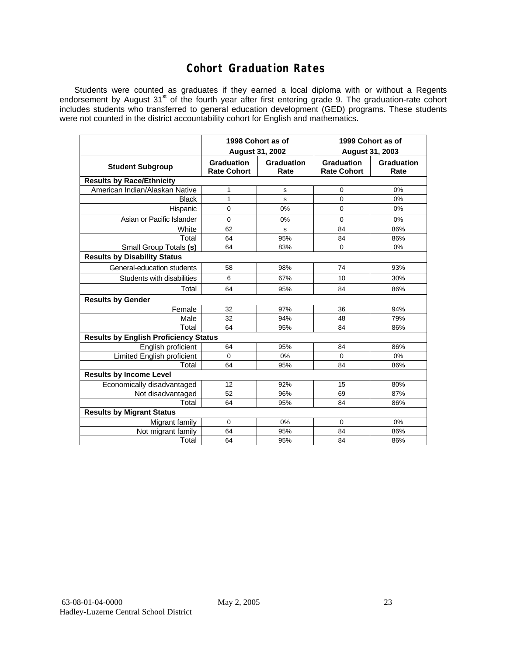### **Cohort Graduation Rates**

Students were counted as graduates if they earned a local diploma with or without a Regents endorsement by August 31<sup>st</sup> of the fourth year after first entering grade 9. The graduation-rate cohort includes students who transferred to general education development (GED) programs. These students were not counted in the district accountability cohort for English and mathematics.

|                                              |                                         | 1998 Cohort as of      | 1999 Cohort as of                |                    |  |  |  |  |  |  |
|----------------------------------------------|-----------------------------------------|------------------------|----------------------------------|--------------------|--|--|--|--|--|--|
|                                              |                                         | <b>August 31, 2002</b> |                                  | August 31, 2003    |  |  |  |  |  |  |
| <b>Student Subgroup</b>                      | <b>Graduation</b><br><b>Rate Cohort</b> | Graduation<br>Rate     | Graduation<br><b>Rate Cohort</b> | Graduation<br>Rate |  |  |  |  |  |  |
| <b>Results by Race/Ethnicity</b>             |                                         |                        |                                  |                    |  |  |  |  |  |  |
| American Indian/Alaskan Native               | 1                                       | s                      | $\mathbf 0$                      | 0%                 |  |  |  |  |  |  |
| <b>Black</b>                                 | 1                                       | s                      | 0                                | 0%                 |  |  |  |  |  |  |
| Hispanic                                     | $\mathbf 0$                             | 0%                     | 0                                | 0%                 |  |  |  |  |  |  |
| Asian or Pacific Islander                    | $\mathbf 0$                             | 0%                     | 0                                | 0%                 |  |  |  |  |  |  |
| White                                        | 62                                      | s                      | 84                               | 86%                |  |  |  |  |  |  |
| Total                                        | 64                                      | 95%                    | 84                               | 86%                |  |  |  |  |  |  |
| Small Group Totals (s)                       | 64                                      | 83%                    | 0                                | 0%                 |  |  |  |  |  |  |
| <b>Results by Disability Status</b>          |                                         |                        |                                  |                    |  |  |  |  |  |  |
| General-education students                   | 58                                      | 98%                    | 74                               | 93%                |  |  |  |  |  |  |
| Students with disabilities                   | 6                                       | 67%                    | 10                               | 30%                |  |  |  |  |  |  |
| Total                                        | 64                                      | 95%                    | 84                               | 86%                |  |  |  |  |  |  |
| <b>Results by Gender</b>                     |                                         |                        |                                  |                    |  |  |  |  |  |  |
| Female                                       | 32                                      | 97%                    | 36                               | 94%                |  |  |  |  |  |  |
| Male                                         | 32                                      | 94%                    | 48                               | 79%                |  |  |  |  |  |  |
| Total                                        | 64                                      | 95%                    | 84                               | 86%                |  |  |  |  |  |  |
| <b>Results by English Proficiency Status</b> |                                         |                        |                                  |                    |  |  |  |  |  |  |
| English proficient                           | 64                                      | 95%                    | 84                               | 86%                |  |  |  |  |  |  |
| Limited English proficient                   | $\mathbf 0$                             | 0%                     | 0                                | 0%                 |  |  |  |  |  |  |
| Total                                        | 64                                      | 95%                    | 84                               | 86%                |  |  |  |  |  |  |
| <b>Results by Income Level</b>               |                                         |                        |                                  |                    |  |  |  |  |  |  |
| Economically disadvantaged                   | 12                                      | 92%                    | 15                               | 80%                |  |  |  |  |  |  |
| Not disadvantaged                            | 52                                      | 96%                    | 69                               | 87%                |  |  |  |  |  |  |
| Total                                        | 64                                      | 95%                    | 84                               | 86%                |  |  |  |  |  |  |
| <b>Results by Migrant Status</b>             |                                         |                        |                                  |                    |  |  |  |  |  |  |
| Migrant family                               | $\mathbf 0$                             | 0%                     | 0                                | 0%                 |  |  |  |  |  |  |
| Not migrant family                           | 64                                      | 95%                    | 84                               | 86%                |  |  |  |  |  |  |
| Total                                        | 64                                      | 95%                    | 84                               | 86%                |  |  |  |  |  |  |